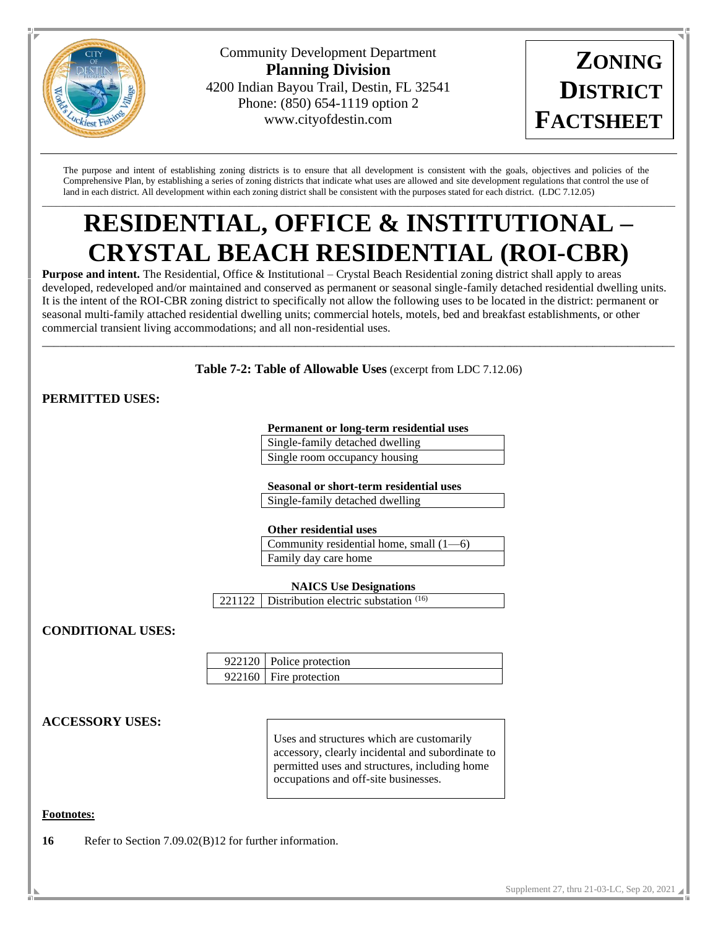

Community Development Department **Planning Division** 4200 Indian Bayou Trail, Destin, FL 32541 Phone: (850) 654-1119 option 2 www.cityofdestin.com



The purpose and intent of establishing zoning districts is to ensure that all development is consistent with the goals, objectives and policies of the Comprehensive Plan, by establishing a series of zoning districts that indicate what uses are allowed and site development regulations that control the use of land in each district. All development within each zoning district shall be consistent with the purposes stated for each district. (LDC 7.12.05)

## \_\_\_\_\_\_\_\_\_\_\_\_\_\_\_\_\_\_\_\_\_\_\_\_\_\_\_\_\_\_\_\_\_\_\_\_\_\_\_\_\_\_\_\_\_\_\_\_\_\_\_\_\_\_\_\_\_\_\_\_\_\_\_\_\_\_\_\_\_\_\_\_\_\_\_\_\_\_\_\_\_\_\_\_\_\_\_\_\_\_\_\_\_\_\_\_\_\_\_\_\_\_\_\_\_\_\_\_\_\_\_\_\_\_\_\_\_\_\_\_\_\_\_\_\_\_\_\_\_\_\_\_\_\_\_ **RESIDENTIAL, OFFICE & INSTITUTIONAL – CRYSTAL BEACH RESIDENTIAL (ROI-CBR)**

**Purpose and intent.** The Residential, Office & Institutional – Crystal Beach Residential zoning district shall apply to areas developed, redeveloped and/or maintained and conserved as permanent or seasonal single-family detached residential dwelling units. It is the intent of the ROI-CBR zoning district to specifically not allow the following uses to be located in the district: permanent or seasonal multi-family attached residential dwelling units; commercial hotels, motels, bed and breakfast establishments, or other commercial transient living accommodations; and all non-residential uses.